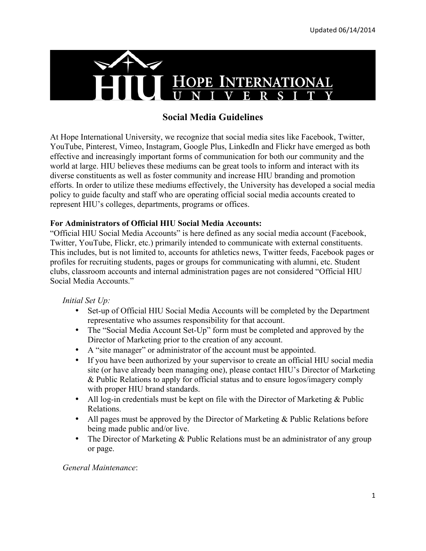

# **Social Media Guidelines**

At Hope International University, we recognize that social media sites like Facebook, Twitter, YouTube, Pinterest, Vimeo, Instagram, Google Plus, LinkedIn and Flickr have emerged as both effective and increasingly important forms of communication for both our community and the world at large. HIU believes these mediums can be great tools to inform and interact with its diverse constituents as well as foster community and increase HIU branding and promotion efforts. In order to utilize these mediums effectively, the University has developed a social media policy to guide faculty and staff who are operating official social media accounts created to represent HIU's colleges, departments, programs or offices.

## **For Administrators of Official HIU Social Media Accounts:**

"Official HIU Social Media Accounts" is here defined as any social media account (Facebook, Twitter, YouTube, Flickr, etc.) primarily intended to communicate with external constituents. This includes, but is not limited to, accounts for athletics news, Twitter feeds, Facebook pages or profiles for recruiting students, pages or groups for communicating with alumni, etc. Student clubs, classroom accounts and internal administration pages are not considered "Official HIU Social Media Accounts."

## *Initial Set Up:*

- Set-up of Official HIU Social Media Accounts will be completed by the Department representative who assumes responsibility for that account.
- The "Social Media Account Set-Up" form must be completed and approved by the Director of Marketing prior to the creation of any account.
- A "site manager" or administrator of the account must be appointed.
- If you have been authorized by your supervisor to create an official HIU social media site (or have already been managing one), please contact HIU's Director of Marketing & Public Relations to apply for official status and to ensure logos/imagery comply with proper HIU brand standards.
- All log-in credentials must be kept on file with the Director of Marketing & Public Relations.
- All pages must be approved by the Director of Marketing & Public Relations before being made public and/or live.
- The Director of Marketing & Public Relations must be an administrator of any group or page.

#### *General Maintenance*: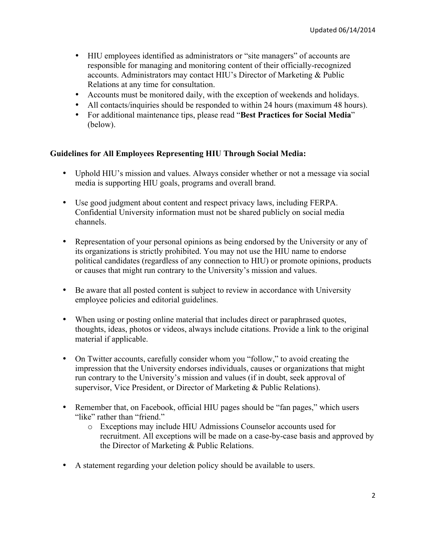- HIU employees identified as administrators or "site managers" of accounts are responsible for managing and monitoring content of their officially-recognized accounts. Administrators may contact HIU's Director of Marketing & Public Relations at any time for consultation.
- Accounts must be monitored daily, with the exception of weekends and holidays.
- All contacts/inquiries should be responded to within 24 hours (maximum 48 hours).
- For additional maintenance tips, please read "**Best Practices for Social Media**" (below).

## **Guidelines for All Employees Representing HIU Through Social Media:**

- Uphold HIU's mission and values. Always consider whether or not a message via social media is supporting HIU goals, programs and overall brand.
- Use good judgment about content and respect privacy laws, including FERPA. Confidential University information must not be shared publicly on social media channels.
- Representation of your personal opinions as being endorsed by the University or any of its organizations is strictly prohibited. You may not use the HIU name to endorse political candidates (regardless of any connection to HIU) or promote opinions, products or causes that might run contrary to the University's mission and values.
- Be aware that all posted content is subject to review in accordance with University employee policies and editorial guidelines.
- When using or posting online material that includes direct or paraphrased quotes, thoughts, ideas, photos or videos, always include citations. Provide a link to the original material if applicable.
- On Twitter accounts, carefully consider whom you "follow," to avoid creating the impression that the University endorses individuals, causes or organizations that might run contrary to the University's mission and values (if in doubt, seek approval of supervisor, Vice President, or Director of Marketing & Public Relations).
- Remember that, on Facebook, official HIU pages should be "fan pages," which users "like" rather than "friend."
	- o Exceptions may include HIU Admissions Counselor accounts used for recruitment. All exceptions will be made on a case-by-case basis and approved by the Director of Marketing & Public Relations.
- A statement regarding your deletion policy should be available to users.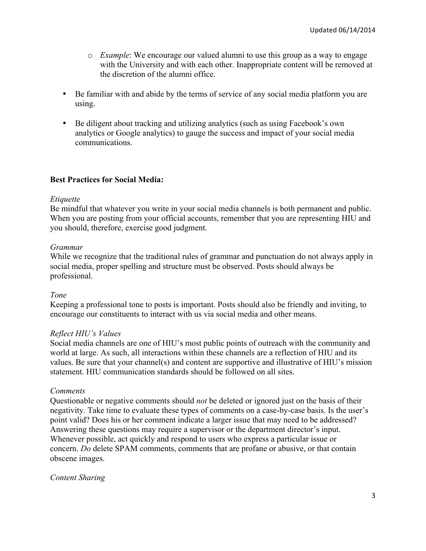- o *Example*: We encourage our valued alumni to use this group as a way to engage with the University and with each other. Inappropriate content will be removed at the discretion of the alumni office.
- Be familiar with and abide by the terms of service of any social media platform you are using.
- Be diligent about tracking and utilizing analytics (such as using Facebook's own analytics or Google analytics) to gauge the success and impact of your social media communications.

## **Best Practices for Social Media:**

## *Etiquette*

Be mindful that whatever you write in your social media channels is both permanent and public. When you are posting from your official accounts, remember that you are representing HIU and you should, therefore, exercise good judgment.

## *Grammar*

While we recognize that the traditional rules of grammar and punctuation do not always apply in social media, proper spelling and structure must be observed. Posts should always be professional.

## *Tone*

Keeping a professional tone to posts is important. Posts should also be friendly and inviting, to encourage our constituents to interact with us via social media and other means.

## *Reflect HIU's Values*

Social media channels are one of HIU's most public points of outreach with the community and world at large. As such, all interactions within these channels are a reflection of HIU and its values. Be sure that your channel(s) and content are supportive and illustrative of HIU's mission statement. HIU communication standards should be followed on all sites.

## *Comments*

Questionable or negative comments should *not* be deleted or ignored just on the basis of their negativity. Take time to evaluate these types of comments on a case-by-case basis. Is the user's point valid? Does his or her comment indicate a larger issue that may need to be addressed? Answering these questions may require a supervisor or the department director's input. Whenever possible, act quickly and respond to users who express a particular issue or concern. *Do* delete SPAM comments, comments that are profane or abusive, or that contain obscene images.

## *Content Sharing*